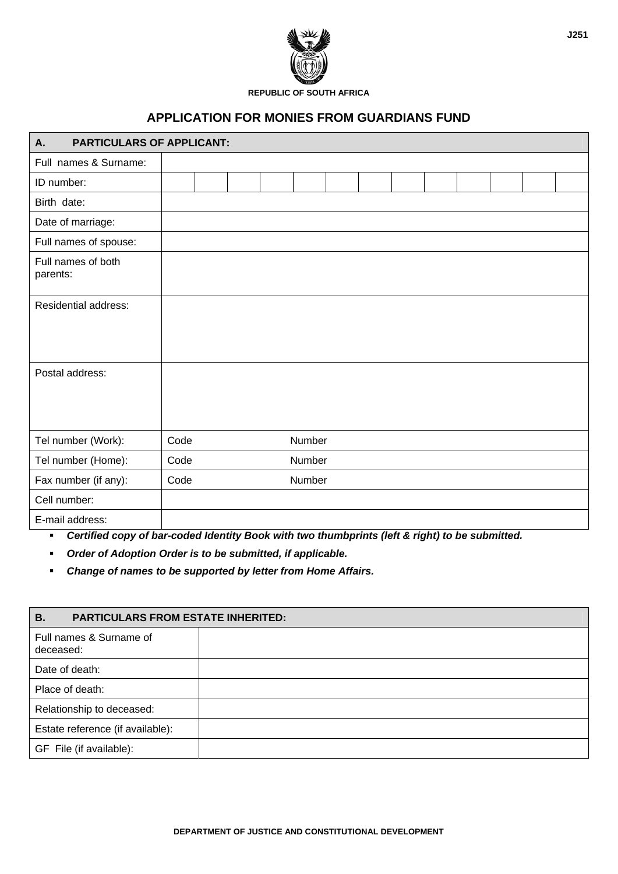

**REPUBLIC OF SOUTH AFRICA** 

## **APPLICATION FOR MONIES FROM GUARDIANS FUND**

| <b>PARTICULARS OF APPLICANT:</b><br>А.                                                                                    |      |  |  |  |        |  |  |  |  |
|---------------------------------------------------------------------------------------------------------------------------|------|--|--|--|--------|--|--|--|--|
| Full names & Surname:                                                                                                     |      |  |  |  |        |  |  |  |  |
| ID number:                                                                                                                |      |  |  |  |        |  |  |  |  |
| Birth date:                                                                                                               |      |  |  |  |        |  |  |  |  |
| Date of marriage:                                                                                                         |      |  |  |  |        |  |  |  |  |
| Full names of spouse:                                                                                                     |      |  |  |  |        |  |  |  |  |
| Full names of both<br>parents:                                                                                            |      |  |  |  |        |  |  |  |  |
| <b>Residential address:</b>                                                                                               |      |  |  |  |        |  |  |  |  |
| Postal address:                                                                                                           |      |  |  |  |        |  |  |  |  |
| Tel number (Work):                                                                                                        | Code |  |  |  | Number |  |  |  |  |
| Tel number (Home):                                                                                                        | Code |  |  |  | Number |  |  |  |  |
| Fax number (if any):                                                                                                      | Code |  |  |  | Number |  |  |  |  |
| Cell number:                                                                                                              |      |  |  |  |        |  |  |  |  |
| E-mail address:<br>Oradity descends there is ded blanches Dood with two throughout to the fit for the best of and without |      |  |  |  |        |  |  |  |  |

*Certified copy of bar-coded Identity Book with two thumbprints (left & right) to be submitted.* 

*Order of Adoption Order is to be submitted, if applicable.*

*Change of names to be supported by letter from Home Affairs.*

| <b>PARTICULARS FROM ESTATE INHERITED:</b> |  |  |  |  |  |  |
|-------------------------------------------|--|--|--|--|--|--|
| Full names & Surname of<br>deceased:      |  |  |  |  |  |  |
| Date of death:                            |  |  |  |  |  |  |
| Place of death:                           |  |  |  |  |  |  |
| Relationship to deceased:                 |  |  |  |  |  |  |
| Estate reference (if available):          |  |  |  |  |  |  |
| GF File (if available):                   |  |  |  |  |  |  |